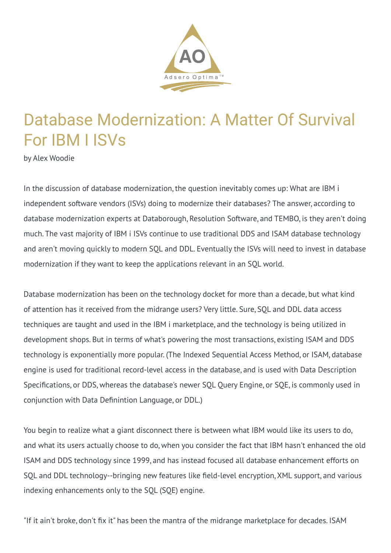

## Database Modernization: A Matter Of Survival For IBM I ISVs

by Alex Woodie

In the discussion of database modernization, the question inevitably comes up: What are IBM i independent software vendors (ISVs) doing to modernize their databases? The answer, according to database modernization experts at Databorough, Resolution Software, and TEMBO, is they aren't doing much. The vast majority of IBM i ISVs continue to use traditional DDS and ISAM database technology and aren't moving quickly to modern SQL and DDL. Eventually the ISVs will need to invest in database modernization if they want to keep the applications relevant in an SQL world.

Database modernization has been on the technology docket for more than a decade, but what kind of attention has it received from the midrange users? Very little. Sure, SQL and DDL data access techniques are taught and used in the IBM i marketplace, and the technology is being utilized in development shops. But in terms of what's powering the most transactions, existing ISAM and DDS technology is exponentially more popular. (The Indexed Sequential Access Method, or ISAM, database engine is used for traditional record-level access in the database, and is used with Data Description Specifications, or DDS, whereas the database's newer SQL Query Engine, or SQE, is commonly used in conjunction with Data Definintion Language, or DDL.)

You begin to realize what a giant disconnect there is between what IBM would like its users to do, and what its users actually choose to do, when you consider the fact that IBM hasn't enhanced the old ISAM and DDS technology since 1999, and has instead focused all database enhancement efforts on SQL and DDL technology--bringing new features like field-level encryption, XML support, and various indexing enhancements only to the SQL (SQE) engine.

"If it ain't broke, don't fix it" has been the mantra of the midrange marketplace for decades. ISAM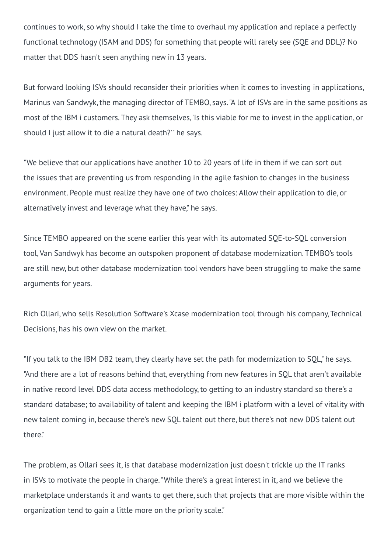continues to work, so why should I take the time to overhaul my application and replace a perfectly functional technology (ISAM and DDS) for something that people will rarely see (SQE and DDL)? No matter that DDS hasn't seen anything new in 13 years.

But forward looking ISVs should reconsider their priorities when it comes to investing in applications, Marinus van Sandwyk, the managing director of TEMBO, says. "A lot of ISVs are in the same positions as most of the IBM i customers. They ask themselves, 'Is this viable for me to invest in the application, or should I just allow it to die a natural death?'" he says.

"We believe that our applications have another 10 to 20 years of life in them if we can sort out the issues that are preventing us from responding in the agile fashion to changes in the business environment. People must realize they have one of two choices: Allow their application to die, or alternatively invest and leverage what they have," he says.

Since TEMBO appeared on the scene earlier this year with its automated SQE-to-SQL conversion tool, Van Sandwyk has become an outspoken proponent of database modernization. TEMBO's tools are still new, but other database modernization tool vendors have been struggling to make the same arguments for years.

Rich Ollari, who sells Resolution Software's Xcase modernization tool through his company, Technical Decisions, has his own view on the market.

"If you talk to the IBM DB2 team, they clearly have set the path for modernization to SQL," he says. "And there are a lot of reasons behind that, everything from new features in SQL that aren't available in native record level DDS data access methodology, to getting to an industry standard so there's a standard database; to availability of talent and keeping the IBM i platform with a level of vitality with new talent coming in, because there's new SQL talent out there, but there's not new DDS talent out there."

The problem, as Ollari sees it, is that database modernization just doesn't trickle up the IT ranks in ISVs to motivate the people in charge. "While there's a great interest in it, and we believe the marketplace understands it and wants to get there, such that projects that are more visible within the organization tend to gain a little more on the priority scale."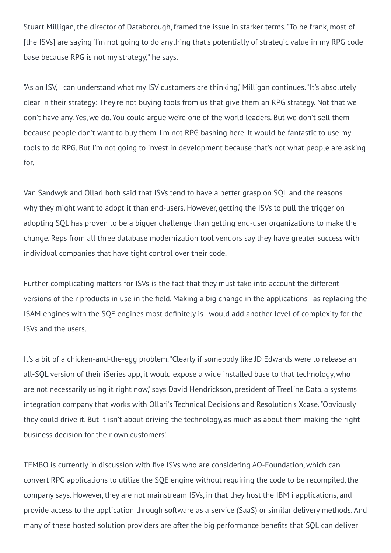Stuart Milligan, the director of Databorough, framed the issue in starker terms. "To be frank, most of [the ISVs] are saying 'I'm not going to do anything that's potentially of strategic value in my RPG code base because RPG is not my strategy,'" he says.

"As an ISV, I can understand what my ISV customers are thinking," Milligan continues. "It's absolutely clear in their strategy: They're not buying tools from us that give them an RPG strategy. Not that we don't have any. Yes, we do. You could argue we're one of the world leaders. But we don't sell them because people don't want to buy them. I'm not RPG bashing here. It would be fantastic to use my tools to do RPG. But I'm not going to invest in development because that's not what people are asking for."

Van Sandwyk and Ollari both said that ISVs tend to have a better grasp on SQL and the reasons why they might want to adopt it than end-users. However, getting the ISVs to pull the trigger on adopting SQL has proven to be a bigger challenge than getting end-user organizations to make the change. Reps from all three database modernization tool vendors say they have greater success with individual companies that have tight control over their code.

Further complicating matters for ISVs is the fact that they must take into account the different versions of their products in use in the field. Making a big change in the applications--as replacing the ISAM engines with the SQE engines most definitely is--would add another level of complexity for the ISVs and the users.

It's a bit of a chicken-and-the-egg problem. "Clearly if somebody like JD Edwards were to release an all-SQL version of their iSeries app, it would expose a wide installed base to that technology, who are not necessarily using it right now," says David Hendrickson, president of Treeline Data, a systems integration company that works with Ollari's Technical Decisions and Resolution's Xcase. "Obviously they could drive it. But it isn't about driving the technology, as much as about them making the right business decision for their own customers."

TEMBO is currently in discussion with five ISVs who are considering AO-Foundation, which can convert RPG applications to utilize the SQE engine without requiring the code to be recompiled, the company says. However, they are not mainstream ISVs, in that they host the IBM i applications, and provide access to the application through software as a service (SaaS) or similar delivery methods. And many of these hosted solution providers are after the big performance benefits that SQL can deliver